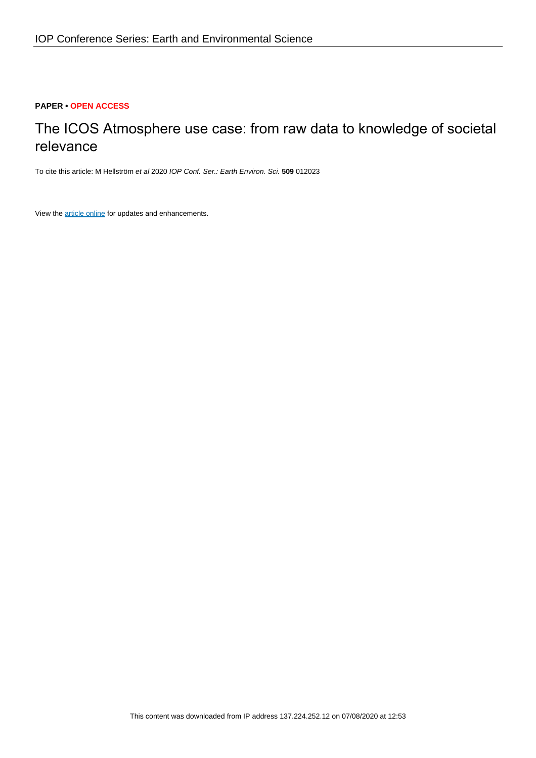## **PAPER • OPEN ACCESS**

# The ICOS Atmosphere use case: from raw data to knowledge of societal relevance

To cite this article: M Hellström et al 2020 IOP Conf. Ser.: Earth Environ. Sci. **509** 012023

View the [article online](https://doi.org/10.1088/1755-1315/509/1/012023) for updates and enhancements.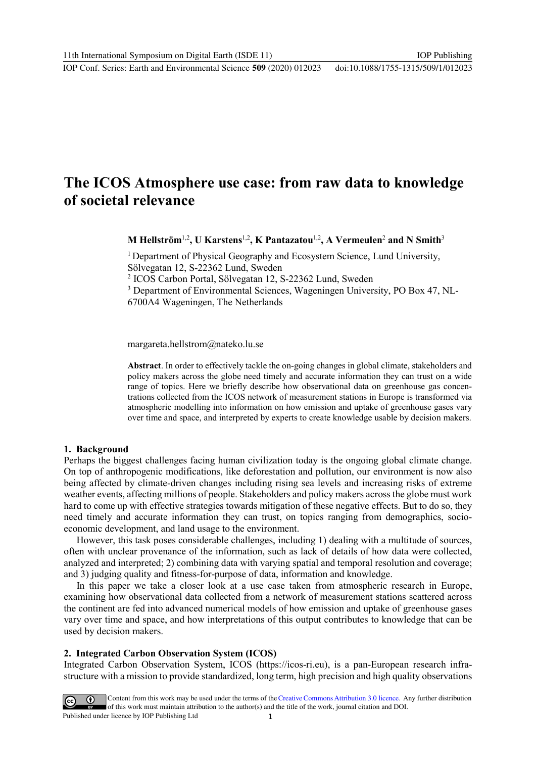# **The ICOS Atmosphere use case: from raw data to knowledge of societal relevance**

**M Hellström**1,2**, U Karstens**1,2**, K Pantazatou**1,2**, A Vermeulen**<sup>2</sup> **and N Smith**<sup>3</sup>

<sup>1</sup> Department of Physical Geography and Ecosystem Science, Lund University, Sölvegatan 12, S-22362 Lund, Sweden

<sup>2</sup> ICOS Carbon Portal, Sölvegatan 12, S-22362 Lund, Sweden

<sup>3</sup> Department of Environmental Sciences, Wageningen University, PO Box 47, NL-

6700A4 Wageningen, The Netherlands

margareta.hellstrom@nateko.lu.se

**Abstract**. In order to effectively tackle the on-going changes in global climate, stakeholders and policy makers across the globe need timely and accurate information they can trust on a wide range of topics. Here we briefly describe how observational data on greenhouse gas concentrations collected from the ICOS network of measurement stations in Europe is transformed via atmospheric modelling into information on how emission and uptake of greenhouse gases vary over time and space, and interpreted by experts to create knowledge usable by decision makers.

### **1. Background**

Perhaps the biggest challenges facing human civilization today is the ongoing global climate change. On top of anthropogenic modifications, like deforestation and pollution, our environment is now also being affected by climate-driven changes including rising sea levels and increasing risks of extreme weather events, affecting millions of people. Stakeholders and policy makers across the globe must work hard to come up with effective strategies towards mitigation of these negative effects. But to do so, they need timely and accurate information they can trust, on topics ranging from demographics, socioeconomic development, and land usage to the environment.

However, this task poses considerable challenges, including 1) dealing with a multitude of sources, often with unclear provenance of the information, such as lack of details of how data were collected, analyzed and interpreted; 2) combining data with varying spatial and temporal resolution and coverage; and 3) judging quality and fitness-for-purpose of data, information and knowledge.

In this paper we take a closer look at a use case taken from atmospheric research in Europe, examining how observational data collected from a network of measurement stations scattered across the continent are fed into advanced numerical models of how emission and uptake of greenhouse gases vary over time and space, and how interpretations of this output contributes to knowledge that can be used by decision makers.

### **2. Integrated Carbon Observation System (ICOS)**

Integrated Carbon Observation System, ICOS (https://icos-ri.eu), is a pan-European research infrastructure with a mission to provide standardized, long term, high precision and high quality observations